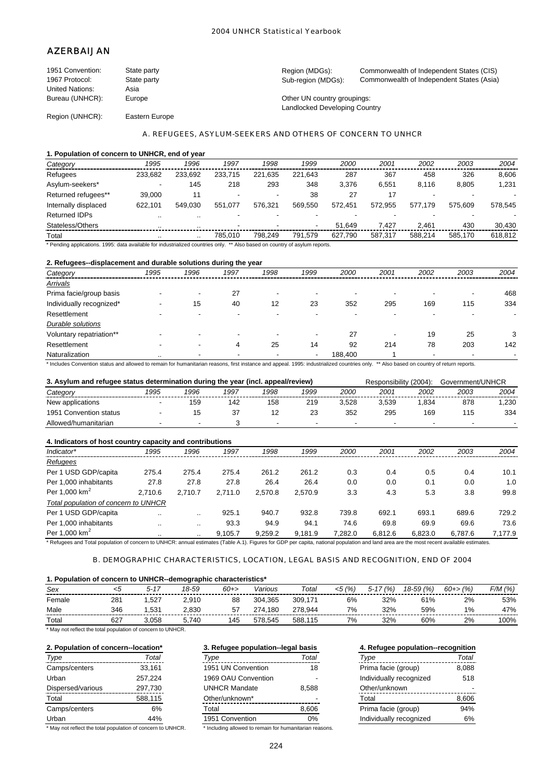# AZERBAIJAN

| 1951 Convention:       | State party    | Region (MDGs):                | Commonwealth of Independent States (CIS)  |
|------------------------|----------------|-------------------------------|-------------------------------------------|
| 1967 Protocol:         | State party    | Sub-region (MDGs):            | Commonwealth of Independent States (Asia) |
| <b>United Nations:</b> | Asia           |                               |                                           |
| Bureau (UNHCR):        | Europe         | Other UN country groupings:   |                                           |
|                        |                | Landlocked Developing Country |                                           |
| Region (UNHCR):        | Eastern Europe |                               |                                           |

## A. REFUGEES, ASYLUM-SEEKERS AND OTHERS OF CONCERN TO UNHCR

## **1. Population of concern to UNHCR, end of year**

| Category             | 1995    | 1996    | 1997                     | 1998        | 1999    | 2000    | 2001    | 2002    | 2003    | 2004    |
|----------------------|---------|---------|--------------------------|-------------|---------|---------|---------|---------|---------|---------|
| Refugees             | 233.682 | 233.692 | 233.715                  | .635<br>221 | 221.643 | 287     | 367     | 458     | 326     | 8,606   |
| Asylum-seekers*      | ۰       | 145     | 218                      | 293         | 348     | 3.376   | 6.551   | 8.116   | 8.805   | 1,231   |
| Returned refugees**  | 39.000  | 11      | $\overline{\phantom{a}}$ |             | 38      | 27      |         |         |         |         |
| Internally displaced | 622.101 | 549.030 | 551.077                  | 576.321     | 569.550 | 572.451 | 572.955 | 577.179 | 575.609 | 578.545 |
| <b>Returned IDPs</b> |         | $\sim$  |                          |             |         |         |         |         |         |         |
| Stateless/Others     |         |         | $\overline{\phantom{0}}$ |             |         | 51.649  | 7.427   | 2.461   | 430     | 30.430  |
| Total                |         |         | 785.010                  | 798.249     | 791.579 | 627.790 | 587.317 | 588.214 | 585.170 | 618.812 |

\* Pending applications. 1995: data available for industrialized countries only. \*\* Also based on country of asylum reports.

## **2. Refugees--displacement and durable solutions during the year**

| Category                 | 1995      | 1996 | 1997                     | 1998 | 1999 | 2000    | 2001 | 2002 | 2003                     | 2004 |
|--------------------------|-----------|------|--------------------------|------|------|---------|------|------|--------------------------|------|
| <b>Arrivals</b>          |           |      |                          |      |      |         |      |      |                          |      |
| Prima facie/group basis  |           |      | 27                       | -    |      |         |      |      | $\overline{\phantom{a}}$ | 468  |
| Individually recognized* |           | 15   | 40                       | 12   | 23   | 352     | 295  | 169  | 115                      | 334  |
| Resettlement             |           | -    |                          |      |      |         |      |      |                          |      |
| Durable solutions        |           |      |                          |      |      |         |      |      |                          |      |
| Voluntary repatriation** |           | -    | $\overline{\phantom{0}}$ |      |      | 27      | -    | 19   | 25                       | 3    |
| Resettlement             |           | -    | 4                        | 25   | 14   | 92      | 214  | 78   | 203                      | 142  |
| Naturalization           | $\cdot$ . | -    | $\overline{\phantom{a}}$ |      |      | 188,400 |      | $\,$ | $\overline{\phantom{a}}$ |      |

\* Includes Convention status and allowed to remain for humanitarian reasons, first instance and appeal. 1995: industrialized countries only. \*\* Also based on country of return reports.

| 3. Asylum and refugee status determination during the year (incl. appeal/review) |      |                          |      |      |      |             |       | Responsibility (2004): | Government/UNHCR |      |
|----------------------------------------------------------------------------------|------|--------------------------|------|------|------|-------------|-------|------------------------|------------------|------|
| Category                                                                         | 1995 | 1996                     | 1997 | 1998 | 1999 | <i>2000</i> | 2001  | 2002                   | 2003             | 2004 |
| New applications                                                                 |      | 159                      | 142  | 158  | 219  | 3.528       | 3.539 | .834                   | 878              | .230 |
| 1951 Convention status                                                           |      | 15                       | 37   | 12   | 23   | 352         | 295   | 169                    | 115              | 334  |
| Allowed/humanitarian                                                             |      | $\overline{\phantom{a}}$ |      |      |      |             | -     |                        |                  |      |

| 4. Indicators of host country capacity and contributions |         |         |         |         |         |         |         |         |         |         |  |
|----------------------------------------------------------|---------|---------|---------|---------|---------|---------|---------|---------|---------|---------|--|
| Indicator*                                               | 1995    | 1996    | 1997    | 1998    | 1999    | 2000    | 2001    | 2002    | 2003    | 2004    |  |
| Refugees                                                 |         |         |         |         |         |         |         |         |         |         |  |
| Per 1 USD GDP/capita                                     | 275.4   | 275.4   | 275.4   | 261.2   | 261.2   | 0.3     | 0.4     | 0.5     | 0.4     | 10.1    |  |
| Per 1.000 inhabitants                                    | 27.8    | 27.8    | 27.8    | 26.4    | 26.4    | 0.0     | 0.0     | 0.1     | 0.0     | 1.0     |  |
| Per 1,000 $km^2$                                         | 2.710.6 | 2.710.7 | 2.711.0 | 2,570.8 | 2.570.9 | 3.3     | 4.3     | 5.3     | 3.8     | 99.8    |  |
| Total population of concern to UNHCR                     |         |         |         |         |         |         |         |         |         |         |  |
| Per 1 USD GDP/capita                                     |         |         | 925.1   | 940.7   | 932.8   | 739.8   | 692.1   | 693.1   | 689.6   | 729.2   |  |
| Per 1.000 inhabitants                                    |         |         | 93.3    | 94.9    | 94.1    | 74.6    | 69.8    | 69.9    | 69.6    | 73.6    |  |
| Per 1,000 $km^2$                                         |         | $\sim$  | 9,105.7 | 9,259.2 | 9,181.9 | 7,282.0 | 6,812.6 | 6,823.0 | 6,787.6 | 7,177.9 |  |

\* Refugees and Total population of concern to UNHCR: annual estimates (Table A.1). Figures for GDP per capita, national population and land area are the most recent available estimates.

## B. DEMOGRAPHIC CHARACTERISTICS, LOCATION, LEGAL BASIS AND RECOGNITION, END OF 2004

## **1. Population of concern to UNHCR--demographic characteristics\***

| Sex    |     | $5 - 17$ | 18-59 | 60+> | Various      | Total   | (%<br><5 | (%<br>5-17 | 18-59 (%) | $60 + > \frac{9}{6}$ | F/M (%) |
|--------|-----|----------|-------|------|--------------|---------|----------|------------|-----------|----------------------|---------|
| Female | 281 | .527     | 2.910 | 88   | 304.365      | 309.171 | 6%       | 32%        | 61%       | 2%                   | 53%     |
| Male   | 346 | .531     | 2.830 | 57   | .180<br>274. | 278.944 | 7%       | 32%        | 59%       | 1%                   | 47%     |
| Total  | 627 | .058     | 5.740 | 145  | 578.545      | 588.115 | 7%       | 32%        | 60%       | 2%                   | 100%    |

|  | * May not reflect the total population of concern to UNHCR. |  |  |  |
|--|-------------------------------------------------------------|--|--|--|
|--|-------------------------------------------------------------|--|--|--|

| 2. Population of concern--location* |         | 3. Refugee population-legal basis |       | 4. Refugee population--recognition |       |  |  |
|-------------------------------------|---------|-----------------------------------|-------|------------------------------------|-------|--|--|
| Type                                | Total   | Type                              | Total | Type                               | Total |  |  |
| Camps/centers                       | 33.161  | 1951 UN Convention                | 18    | Prima facie (group)                | 8,088 |  |  |
| Urban                               | 257.224 | 1969 OAU Convention               |       | Individually recognized            | 518   |  |  |
| Dispersed/various                   | 297,730 | <b>UNHCR Mandate</b>              | 8.588 | Other/unknown                      |       |  |  |
| Total                               | 588,115 | Other/unknown*                    |       | Total                              | 8.606 |  |  |
| Camps/centers                       | 6%      | Total                             | 8,606 | Prima facie (group)                | 94%   |  |  |
| Urban<br>44%                        |         | 1951 Convention                   | 0%    | Individually recognized            | 6%    |  |  |

\* May not reflect the total population of concern to UNHCR. \* Including allowed to remain for humanitarian reasons.

# **3. Refugee population--legal basis** *Type Total Type Total Type Total*

| 1951 UN Convention   | 18        |
|----------------------|-----------|
| 1969 OAU Convention  |           |
| <b>UNHCR Mandate</b> | 8.588     |
| Other/unknown*       |           |
| Total                | 8,606     |
| 1951 Convention      | <u>u%</u> |
| .<br>. .             |           |

| 4. Refugee population--recognition |       |  |  |  |  |  |  |  |  |
|------------------------------------|-------|--|--|--|--|--|--|--|--|
| Type                               | Total |  |  |  |  |  |  |  |  |
| Prima facie (group)                | 8.088 |  |  |  |  |  |  |  |  |
| Individually recognized            | 518   |  |  |  |  |  |  |  |  |
| Other/unknown                      |       |  |  |  |  |  |  |  |  |
| Total                              | 8,606 |  |  |  |  |  |  |  |  |
| Prima facie (group)                | 94%   |  |  |  |  |  |  |  |  |
| Individually recognized            |       |  |  |  |  |  |  |  |  |